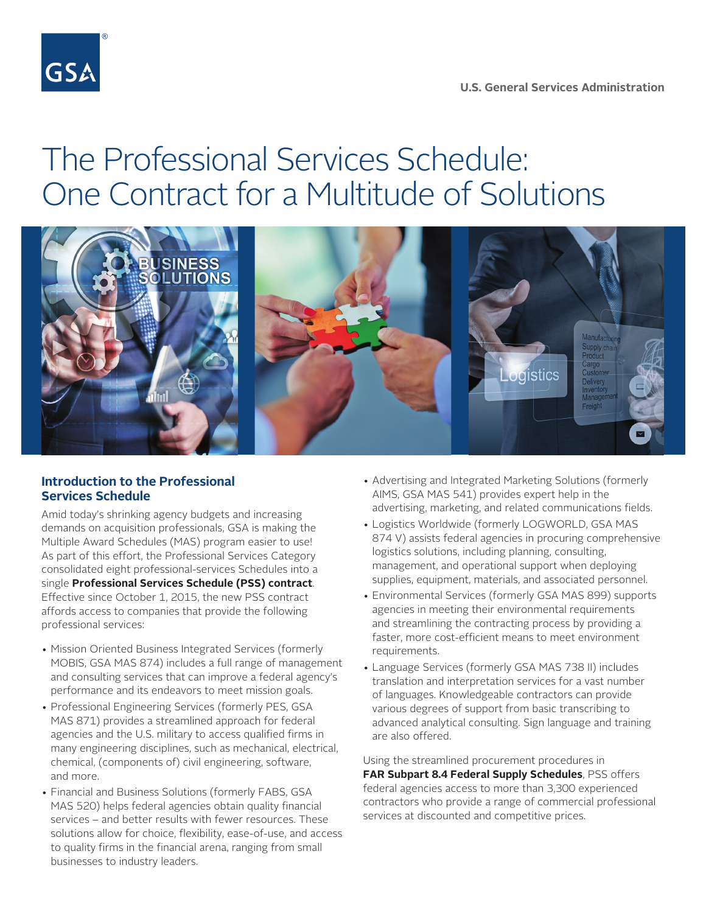

# The Professional Services Schedule: One Contract for a Multitude of Solutions



#### **Introduction to the Professional Services Schedule**

Amid today's shrinking agency budgets and increasing demands on acquisition professionals, GSA is making the Multiple Award Schedules (MAS) program easier to use! As part of this effort, the Professional Services Category consolidated eight professional-services Schedules into a single **[Professional Services Schedule \(PSS\) contract](http://www.gsa.gov/portal/content/246403)**. Effective since October 1, 2015, the new PSS contract affords access to companies that provide the following professional services:

- Mission Oriented Business Integrated Services (formerly MOBIS, GSA MAS 874) includes a full range of management and consulting services that can improve a federal agency's performance and its endeavors to meet mission goals.
- Professional Engineering Services (formerly PES, GSA MAS 871) provides a streamlined approach for federal agencies and the U.S. military to access qualified firms in many engineering disciplines, such as mechanical, electrical, chemical, (components of) civil engineering, software, and more.
- Financial and Business Solutions (formerly FABS, GSA MAS 520) helps federal agencies obtain quality financial services – and better results with fewer resources. These solutions allow for choice, flexibility, ease-of-use, and access to quality firms in the financial arena, ranging from small businesses to industry leaders.
- Advertising and Integrated Marketing Solutions (formerly AIMS, GSA MAS 541) provides expert help in the advertising, marketing, and related communications fields.
- Logistics Worldwide (formerly LOGWORLD, GSA MAS 874 V) assists federal agencies in procuring comprehensive logistics solutions, including planning, consulting, management, and operational support when deploying supplies, equipment, materials, and associated personnel.
- Environmental Services (formerly GSA MAS 899) supports agencies in meeting their environmental requirements and streamlining the contracting process by providing a faster, more cost-efficient means to meet environment requirements.
- Language Services (formerly GSA MAS 738 II) includes translation and interpretation services for a vast number of languages. Knowledgeable contractors can provide various degrees of support from basic transcribing to advanced analytical consulting. Sign language and training are also offered.

Using the streamlined procurement procedures in **[FAR Subpart 8.4 Federal Supply Schedules](https://www.acquisition.gov/?q=/browse/far/8)**, PSS offers federal agencies access to more than 3,300 experienced contractors who provide a range of commercial professional services at discounted and competitive prices.